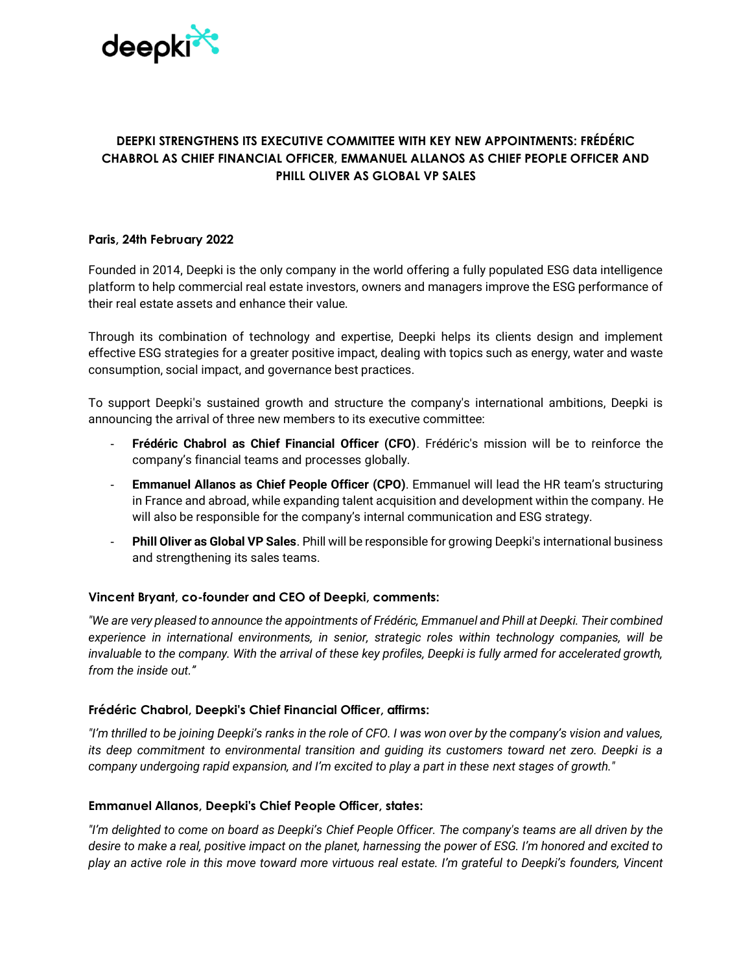

# **DEEPKI STRENGTHENS ITS EXECUTIVE COMMITTEE WITH KEY NEW APPOINTMENTS: FRÉDÉRIC CHABROL AS CHIEF FINANCIAL OFFICER, EMMANUEL ALLANOS AS CHIEF PEOPLE OFFICER AND PHILL OLIVER AS GLOBAL VP SALES**

## **Paris, 24th February 2022**

Founded in 2014, Deepki is the only company in the world offering a fully populated ESG data intelligence platform to help commercial real estate investors, owners and managers improve the ESG performance of their real estate assets and enhance their value.

Through its combination of technology and expertise, Deepki helps its clients design and implement effective ESG strategies for a greater positive impact, dealing with topics such as energy, water and waste consumption, social impact, and governance best practices.

To support Deepki's sustained growth and structure the company's international ambitions, Deepki is announcing the arrival of three new members to its executive committee:

- **Frédéric Chabrol as Chief Financial Officer (CFO)**. Frédéric's mission will be to reinforce the company's financial teams and processes globally.
- **Emmanuel Allanos as Chief People Officer (CPO)**. Emmanuel will lead the HR team's structuring in France and abroad, while expanding talent acquisition and development within the company. He will also be responsible for the company's internal communication and ESG strategy.
- **Phill Oliver as Global VP Sales**. Phill will be responsible for growing Deepki's international business and strengthening its sales teams.

# **Vincent Bryant, co-founder and CEO of Deepki, comments:**

*"We are very pleased to announce the appointments of Frédéric, Emmanuel and Phill at Deepki. Their combined experience in international environments, in senior, strategic roles within technology companies, will be*  invaluable to the company. With the arrival of these key profiles, Deepki is fully armed for accelerated growth, *from the inside out."*

### **Frédéric Chabrol, Deepki's Chief Financial Officer, affirms:**

*"I'm thrilled to be joining Deepki's ranks in the role of CFO. I was won over by the company's vision and values, its deep commitment to environmental transition and guiding its customers toward net zero. Deepki is a company undergoing rapid expansion, and I'm excited to play a part in these next stages of growth."*

### **Emmanuel Allanos, Deepki's Chief People Officer, states:**

*"I'm delighted to come on board as Deepki's Chief People Officer. The company's teams are all driven by the desire to make a real, positive impact on the planet, harnessing the power of ESG. I'm honored and excited to play an active role in this move toward more virtuous real estate. I'm grateful to Deepki's founders, Vincent*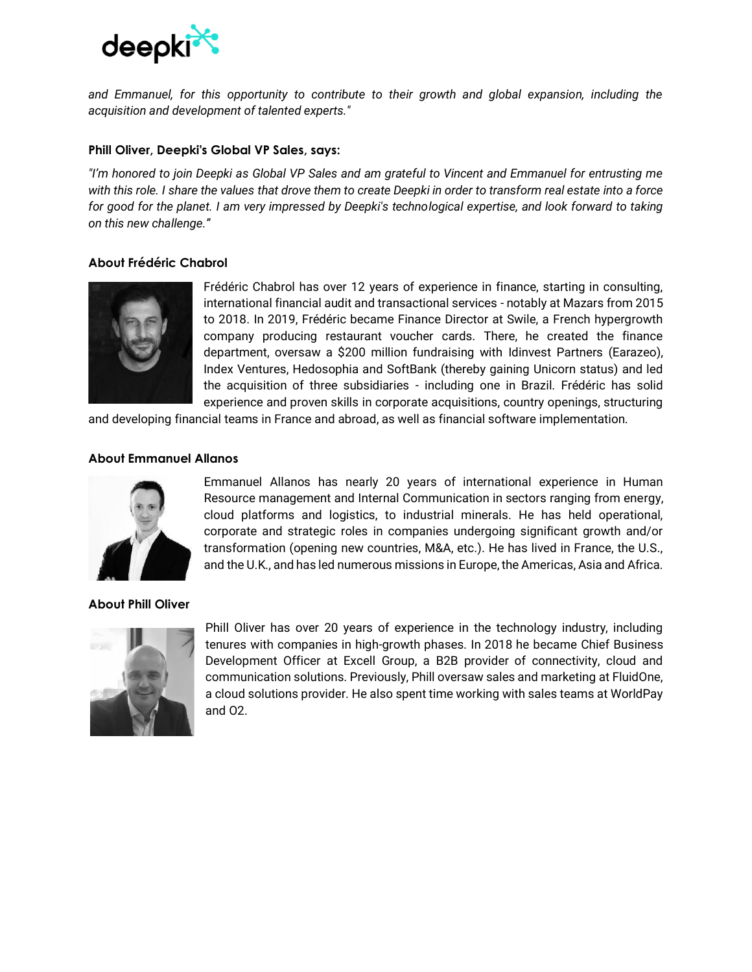

*and Emmanuel, for this opportunity to contribute to their growth and global expansion, including the acquisition and development of talented experts."*

### **Phill Oliver, Deepki's Global VP Sales, says:**

*"I'm honored to join Deepki as Global VP Sales and am grateful to Vincent and Emmanuel for entrusting me with this role. I share the values that drove them to create Deepki in order to transform real estate into a force for good for the planet. I am very impressed by Deepki's technological expertise, and look forward to taking on this new challenge."*

## **About Frédéric Chabrol**



Frédéric Chabrol has over 12 years of experience in finance, starting in consulting, international financial audit and transactional services - notably at Mazars from 2015 to 2018. In 2019, Frédéric became Finance Director at Swile, a French hypergrowth company producing restaurant voucher cards. There, he created the finance department, oversaw a \$200 million fundraising with Idinvest Partners (Earazeo), Index Ventures, Hedosophia and SoftBank (thereby gaining Unicorn status) and led the acquisition of three subsidiaries - including one in Brazil. Frédéric has solid experience and proven skills in corporate acquisitions, country openings, structuring

and developing financial teams in France and abroad, as well as financial software implementation.

## **About Emmanuel Allanos**



Emmanuel Allanos has nearly 20 years of international experience in Human Resource management and Internal Communication in sectors ranging from energy, cloud platforms and logistics, to industrial minerals. He has held operational, corporate and strategic roles in companies undergoing significant growth and/or transformation (opening new countries, M&A, etc.). He has lived in France, the U.S., and the U.K., and has led numerous missions in Europe, the Americas, Asia and Africa.

### **About Phill Oliver**



Phill Oliver has over 20 years of experience in the technology industry, including tenures with companies in high-growth phases. In 2018 he became Chief Business Development Officer at Excell Group, a B2B provider of connectivity, cloud and communication solutions. Previously, Phill oversaw sales and marketing at FluidOne, a cloud solutions provider. He also spent time working with sales teams at WorldPay and O2.